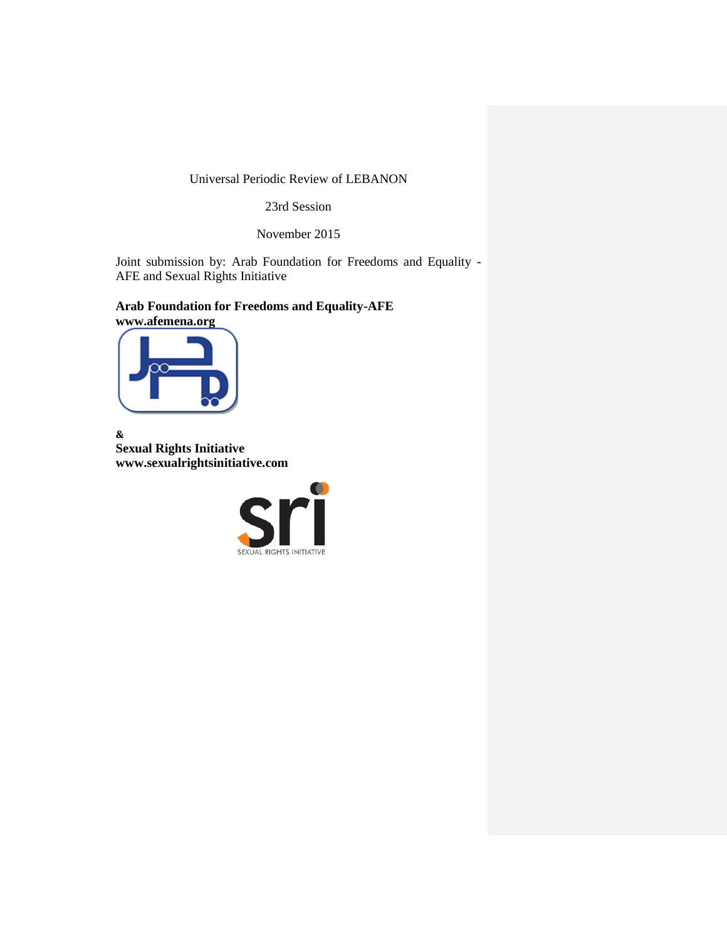# Universal Periodic Review of LEBANON

23rd Session

November 2015

Joint submission by: Arab Foundation for Freedoms and Equality - AFE and Sexual Rights Initiative

**Arab Foundation for Freedoms and Equality-AFE**





**& Sexual Rights Initiative www.sexualrightsinitiative.com**

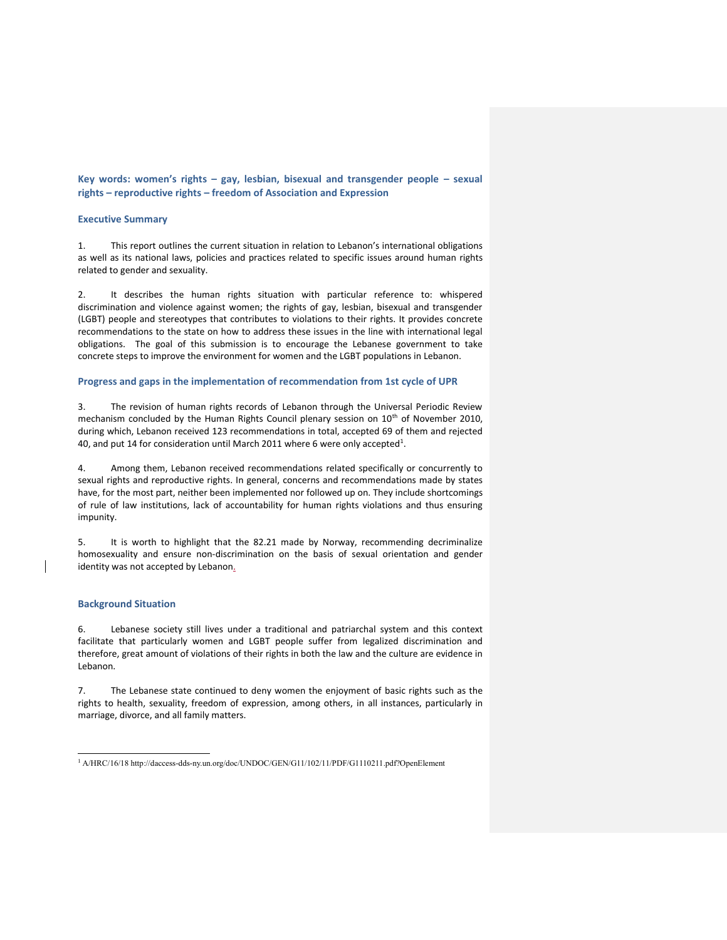**Key words: women's rights – gay, lesbian, bisexual and transgender people – sexual rights – reproductive rights – freedom of Association and Expression**

#### **Executive Summary**

1. This report outlines the current situation in relation to Lebanon's international obligations as well as its national laws, policies and practices related to specific issues around human rights related to gender and sexuality.

2. It describes the human rights situation with particular reference to: whispered discrimination and violence against women; the rights of gay, lesbian, bisexual and transgender (LGBT) people and stereotypes that contributes to violations to their rights. It provides concrete recommendations to the state on how to address these issues in the line with international legal obligations. The goal of this submission is to encourage the Lebanese government to take concrete steps to improve the environment for women and the LGBT populations in Lebanon.

#### **Progress and gaps in the implementation of recommendation from 1st cycle of UPR**

3. The revision of human rights records of Lebanon through the Universal Periodic Review mechanism concluded by the Human Rights Council plenary session on  $10^{th}$  of November 2010, during which, Lebanon received 123 recommendations in total, accepted 69 of them and rejected 40, and put 14 for consideration until March 2011 where 6 were only accepted<sup>1</sup>.

4. Among them, Lebanon received recommendations related specifically or concurrently to sexual rights and reproductive rights. In general, concerns and recommendations made by states have, for the most part, neither been implemented nor followed up on. They include shortcomings of rule of law institutions, lack of accountability for human rights violations and thus ensuring impunity.

5. It is worth to highlight that the 82.21 made by Norway, recommending decriminalize homosexuality and ensure non-discrimination on the basis of sexual orientation and gender identity was not accepted by Lebanon.

#### **Background Situation**

6. Lebanese society still lives under a traditional and patriarchal system and this context facilitate that particularly women and LGBT people suffer from legalized discrimination and therefore, great amount of violations of their rights in both the law and the culture are evidence in Lebanon.

7. The Lebanese state continued to deny women the enjoyment of basic rights such as the rights to health, sexuality, freedom of expression, among others, in all instances, particularly in marriage, divorce, and all family matters.

 <sup>1</sup> A/HRC/16/18 http://daccess-dds-ny.un.org/doc/UNDOC/GEN/G11/102/11/PDF/G1110211.pdf?OpenElement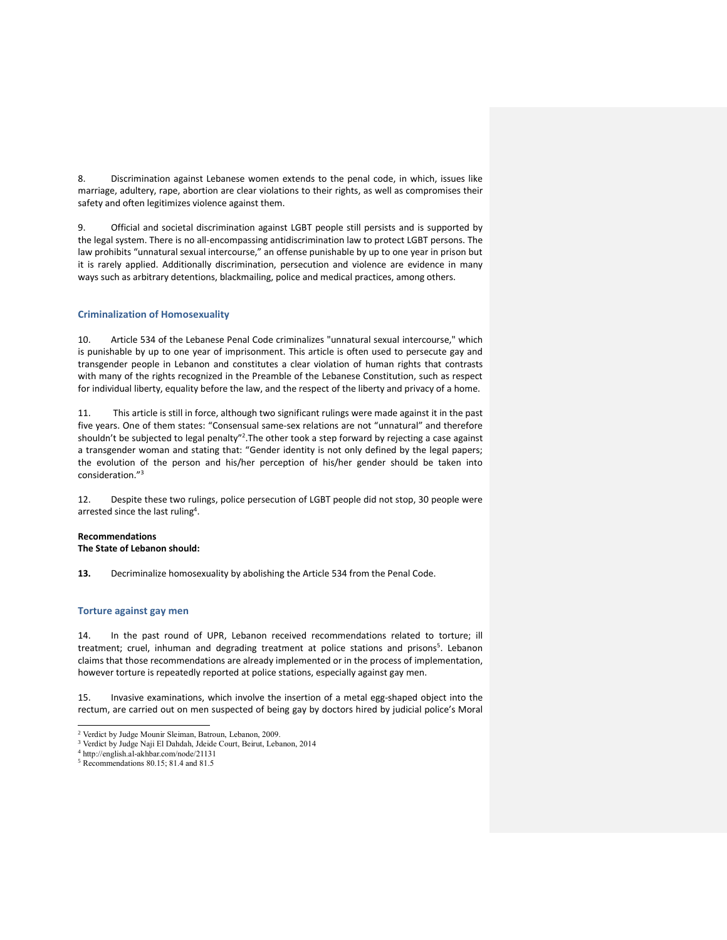8. Discrimination against Lebanese women extends to the penal code, in which, issues like marriage, adultery, rape, abortion are clear violations to their rights, as well as compromises their safety and often legitimizes violence against them.

9. Official and societal discrimination against LGBT people still persists and is supported by the legal system. There is no all-encompassing antidiscrimination law to protect LGBT persons. The law prohibits "unnatural sexual intercourse," an offense punishable by up to one year in prison but it is rarely applied. Additionally discrimination, persecution and violence are evidence in many ways such as arbitrary detentions, blackmailing, police and medical practices, among others.

# **Criminalization of Homosexuality**

10. Article 534 of the Lebanese Penal Code criminalizes "unnatural sexual intercourse," which is punishable by up to one year of imprisonment. This article is often used to persecute gay and transgender people in Lebanon and constitutes a clear violation of human rights that contrasts with many of the rights recognized in the Preamble of the Lebanese Constitution, such as respect for individual liberty, equality before the law, and the respect of the liberty and privacy of a home.

11. This article is still in force, although two significant rulings were made against it in the past five years. One of them states: "Consensual same-sex relations are not "unnatural" and therefore shouldn't be subjected to legal penalty"<sup>2</sup>. The other took a step forward by rejecting a case against a transgender woman and stating that: "Gender identity is not only defined by the legal papers; the evolution of the person and his/her perception of his/her gender should be taken into consideration."<sup>3</sup>

12. Despite these two rulings, police persecution of LGBT people did not stop, 30 people were arrested since the last ruling<sup>4</sup>.

#### **Recommendations The State of Lebanon should:**

**13.** Decriminalize homosexuality by abolishing the Article 534 from the Penal Code.

### **Torture against gay men**

14. In the past round of UPR, Lebanon received recommendations related to torture; ill treatment; cruel, inhuman and degrading treatment at police stations and prisons<sup>5</sup>. Lebanon claims that those recommendations are already implemented or in the process of implementation, however torture is repeatedly reported at police stations, especially against gay men.

15. Invasive examinations, which involve the insertion of a metal egg-shaped object into the rectum, are carried out on men suspected of being gay by doctors hired by judicial police's Moral

 $\overline{a}$ 

<sup>2</sup> Verdict by Judge Mounir Sleiman, Batroun, Lebanon, 2009.

<sup>3</sup> Verdict by Judge Naji El Dahdah, Jdeide Court, Beirut, Lebanon, 2014

<sup>4</sup> http://english.al-akhbar.com/node/21131

<sup>5</sup> Recommendations 80.15; 81.4 and 81.5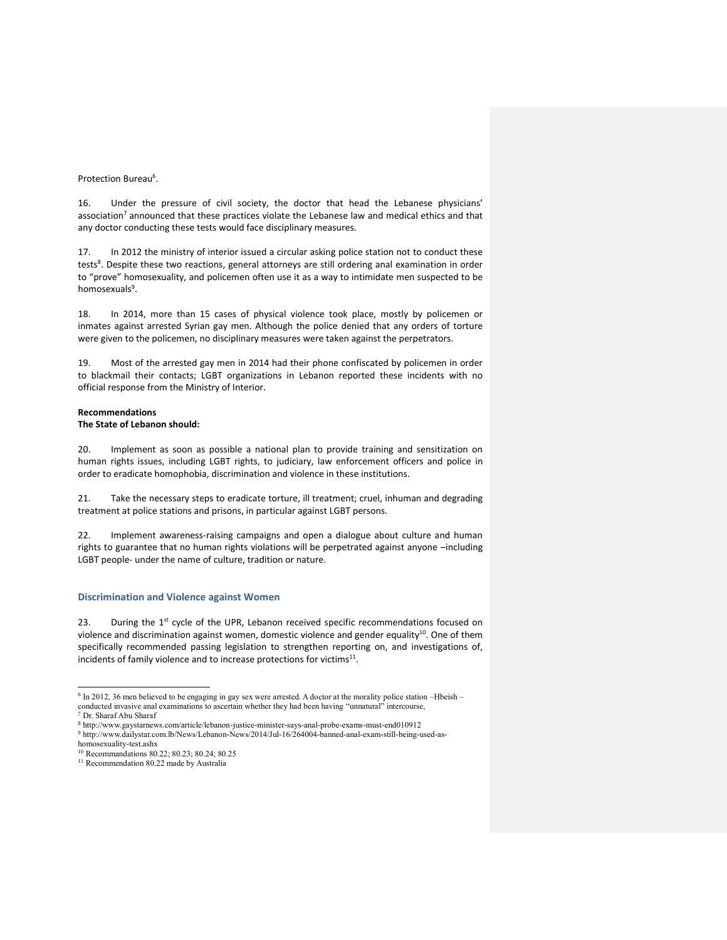### Protection Bureau<sup>6</sup>.

16. Under the pressure of civil society, the doctor that head the Lebanese physicians' association<sup>7</sup> announced that these practices violate the Lebanese law and medical ethics and that any doctor conducting these tests would face disciplinary measures.

17. In 2012 the ministry of interior issued a circular asking police station not to conduct these tests<sup>8</sup>. Despite these two reactions, general attorneys are still ordering anal examination in order to "prove" homosexuality, and policemen often use it as a way to intimidate men suspected to be homosexuals<sup>9</sup>.

18. In 2014, more than 15 cases of physical violence took place, mostly by policemen or inmates against arrested Syrian gay men. Although the police denied that any orders of torture were given to the policemen, no disciplinary measures were taken against the perpetrators.

19. Most of the arrested gay men in 2014 had their phone confiscated by policemen in order to blackmail their contacts; LGBT organizations in Lebanon reported these incidents with no official response from the Ministry of Interior.

# **Recommendations**

# **The State of Lebanon should:**

20. Implement as soon as possible a national plan to provide training and sensitization on human rights issues, including LGBT rights, to judiciary, law enforcement officers and police in order to eradicate homophobia, discrimination and violence in these institutions.

21. Take the necessary steps to eradicate torture, ill treatment; cruel, inhuman and degrading treatment at police stations and prisons, in particular against LGBT persons.

22. Implement awareness-raising campaigns and open a dialogue about culture and human rights to guarantee that no human rights violations will be perpetrated against anyone –including LGBT people- under the name of culture, tradition or nature.

#### **Discrimination and Violence against Women**

23. During the  $1<sup>st</sup>$  cycle of the UPR, Lebanon received specific recommendations focused on violence and discrimination against women, domestic violence and gender equality<sup>10</sup>. One of them specifically recommended passing legislation to strengthen reporting on, and investigations of, incidents of family violence and to increase protections for victims $^{11}$ .

 6 In 2012, 36 men believed to be engaging in gay sex were arrested. A doctor at the morality police station –Hbeish – conducted invasive anal examinations to ascertain whether they had been having "unnatural" intercourse,

<sup>7</sup> Dr. Sharaf Abu Sharaf

<sup>8</sup> http://www.gaystarnews.com/article/lebanon-justice-minister-says-anal-probe-exams-must-end010912

<sup>9</sup> http://www.dailystar.com.lb/News/Lebanon-News/2014/Jul-16/264004-banned-anal-exam-still-being-used-ashomosexuality-test.ashx

<sup>10</sup> Recommandations 80.22; 80.23; 80.24; 80.25

<sup>&</sup>lt;sup>11</sup> Recommendation 80.22 made by Australia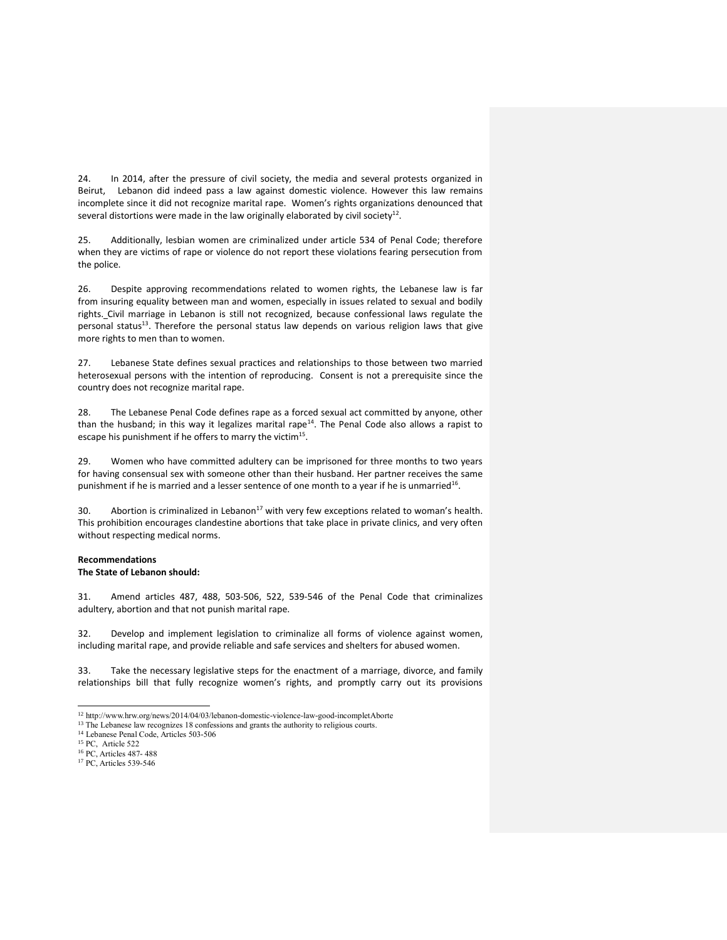24. In 2014, after the pressure of civil society, the media and several protests organized in Beirut, Lebanon did indeed pass a law against domestic violence. However this law remains incomplete since it did not recognize marital rape. Women's rights organizations denounced that several distortions were made in the law originally elaborated by civil society<sup>12</sup>.

25. Additionally, lesbian women are criminalized under article 534 of Penal Code; therefore when they are victims of rape or violence do not report these violations fearing persecution from the police.

26. Despite approving recommendations related to women rights, the Lebanese law is far from insuring equality between man and women, especially in issues related to sexual and bodily rights. Civil marriage in Lebanon is still not recognized, because confessional laws regulate the personal status<sup>13</sup>. Therefore the personal status law depends on various religion laws that give more rights to men than to women.

27. Lebanese State defines sexual practices and relationships to those between two married heterosexual persons with the intention of reproducing. Consent is not a prerequisite since the country does not recognize marital rape.

28. The Lebanese Penal Code defines rape as a forced sexual act committed by anyone, other than the husband; in this way it legalizes marital rape<sup>14</sup>. The Penal Code also allows a rapist to escape his punishment if he offers to marry the victim<sup>15</sup>.

29. Women who have committed adultery can be imprisoned for three months to two years for having consensual sex with someone other than their husband. Her partner receives the same punishment if he is married and a lesser sentence of one month to a year if he is unmarried<sup>16</sup>.

30. Abortion is criminalized in Lebanon $^{17}$  with very few exceptions related to woman's health. This prohibition encourages clandestine abortions that take place in private clinics, and very often without respecting medical norms.

### **Recommendations The State of Lebanon should:**

31. Amend articles 487, 488, 503-506, 522, 539-546 of the Penal Code that criminalizes adultery, abortion and that not punish marital rape.

32. Develop and implement legislation to criminalize all forms of violence against women, including marital rape, and provide reliable and safe services and shelters for abused women.

33. Take the necessary legislative steps for the enactment of a marriage, divorce, and family relationships bill that fully recognize women's rights, and promptly carry out its provisions

 <sup>12</sup> http://www.hrw.org/news/2014/04/03/lebanon-domestic-violence-law-good-incompletAborte

<sup>&</sup>lt;sup>13</sup> The Lebanese law recognizes 18 confessions and grants the authority to religious courts.

<sup>14</sup> Lebanese Penal Code, Articles 503-506

<sup>15</sup> PC, Article 522

<sup>16</sup> PC, Articles 487- 488

<sup>17</sup> PC, Articles 539-546